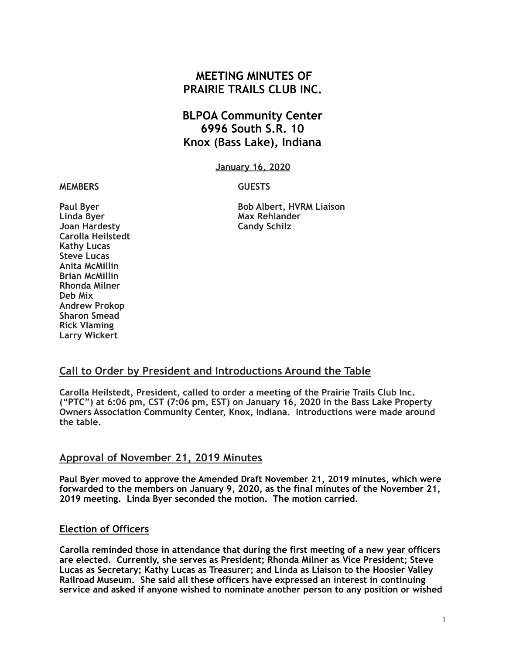# **MEETING MINUTES OF PRAIRIE TRAILS CLUB INC.**

# **BLPOA Community Center 6996 South S.R. 10 Knox (Bass Lake), Indiana**

**January 16, 2020**

#### **MEMBERS GUESTS**

Linda Byer **Max Rehlander Joan Hardesty** Candy Schilz **Carolla Heilstedt Kathy Lucas Steve Lucas Anita McMillin Brian McMillin Rhonda Milner Deb Mix Andrew Prokop Sharon Smead Rick Vlaming Larry Wickert** 

**Paul Byer Community Community Bob Albert, HVRM Liaison** 

### **Call to Order by President and Introductions Around the Table**

**Carolla Heilstedt, President, called to order a meeting of the Prairie Trails Club Inc. ("PTC") at 6:06 pm, CST (7:06 pm, EST) on January 16, 2020 in the Bass Lake Property Owners Association Community Center, Knox, Indiana. Introductions were made around the table.**

#### **Approval of November 21, 2019 Minutes**

**Paul Byer moved to approve the Amended Draft November 21, 2019 minutes, which were forwarded to the members on January 9, 2020, as the final minutes of the November 21, 2019 meeting. Linda Byer seconded the motion. The motion carried.** 

#### **Election of Officers**

**Carolla reminded those in attendance that during the first meeting of a new year officers are elected. Currently, she serves as President; Rhonda Milner as Vice President; Steve Lucas as Secretary; Kathy Lucas as Treasurer; and Linda as Liaison to the Hoosier Valley Railroad Museum. She said all these officers have expressed an interest in continuing service and asked if anyone wished to nominate another person to any position or wished**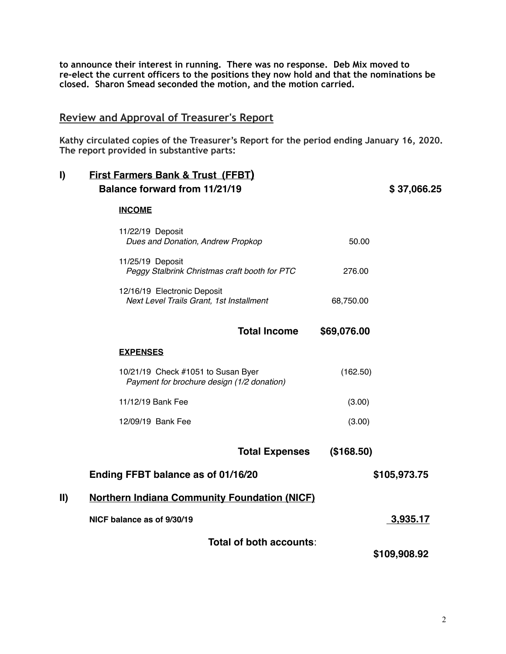**to announce their interest in running. There was no response. Deb Mix moved to re-elect the current officers to the positions they now hold and that the nominations be closed. Sharon Smead seconded the motion, and the motion carried.** 

### **Review and Approval of Treasurer's Report**

**Kathy circulated copies of the Treasurer's Report for the period ending January 16, 2020. The report provided in substantive parts:** 

| I)            | <b>First Farmers Bank &amp; Trust (FFBT)</b><br><b>Balance forward from 11/21/19</b> |              | \$37,066.25 |  |
|---------------|--------------------------------------------------------------------------------------|--------------|-------------|--|
|               | <b>INCOME</b>                                                                        |              |             |  |
|               | 11/22/19 Deposit<br>Dues and Donation, Andrew Propkop                                | 50.00        |             |  |
|               | 11/25/19 Deposit<br>Peggy Stalbrink Christmas craft booth for PTC                    | 276.00       |             |  |
|               | 12/16/19 Electronic Deposit<br>Next Level Trails Grant, 1st Installment              | 68,750.00    |             |  |
|               | <b>Total Income</b>                                                                  | \$69,076.00  |             |  |
|               | <b>EXPENSES</b>                                                                      |              |             |  |
|               | 10/21/19 Check #1051 to Susan Byer<br>Payment for brochure design (1/2 donation)     | (162.50)     |             |  |
|               | 11/12/19 Bank Fee                                                                    | (3.00)       |             |  |
|               | 12/09/19 Bank Fee                                                                    | (3.00)       |             |  |
|               | <b>Total Expenses</b>                                                                | (\$168.50)   |             |  |
|               | Ending FFBT balance as of 01/16/20                                                   | \$105,973.75 |             |  |
| $\mathbf{II}$ | <b>Northern Indiana Community Foundation (NICF)</b>                                  |              |             |  |
|               | NICF balance as of 9/30/19                                                           | 3,935.17     |             |  |
|               | Total of both accounts:                                                              |              |             |  |
|               |                                                                                      | \$109,908.92 |             |  |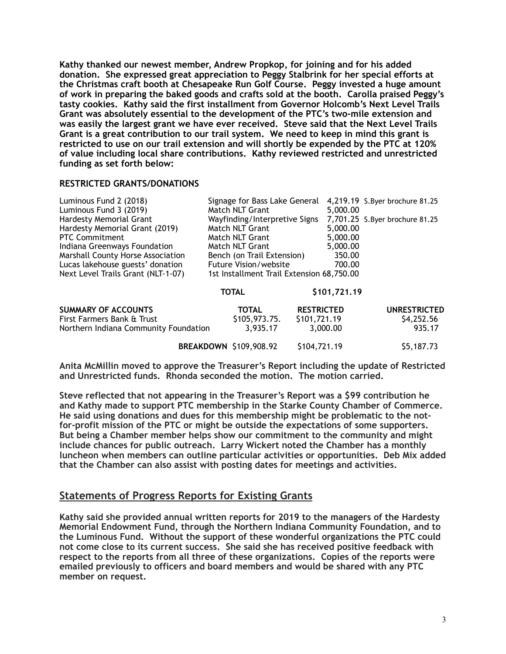**Kathy thanked our newest member, Andrew Propkop, for joining and for his added donation. She expressed great appreciation to Peggy Stalbrink for her special efforts at the Christmas craft booth at Chesapeake Run Golf Course. Peggy invested a huge amount of work in preparing the baked goods and crafts sold at the booth. Carolla praised Peggy's tasty cookies. Kathy said the first installment from Governor Holcomb's Next Level Trails Grant was absolutely essential to the development of the PTC's two-mile extension and was easily the largest grant we have ever received. Steve said that the Next Level Trails Grant is a great contribution to our trail system. We need to keep in mind this grant is restricted to use on our trail extension and will shortly be expended by the PTC at 120% of value including local share contributions. Kathy reviewed restricted and unrestricted funding as set forth below:** 

#### **RESTRICTED GRANTS/DONATIONS**

| Luminous Fund 2 (2018)                   | Signage for Bass Lake General             |                   | 4,219.19 S.Byer brochure 81.25 |
|------------------------------------------|-------------------------------------------|-------------------|--------------------------------|
| Luminous Fund 3 (2019)                   | Match NLT Grant                           | 5,000.00          |                                |
| Hardesty Memorial Grant                  | Wayfinding/Interpretive Signs             |                   | 7,701.25 S.Byer brochure 81.25 |
| Hardesty Memorial Grant (2019)           | Match NLT Grant                           | 5,000.00          |                                |
| <b>PTC Commitment</b>                    | Match NLT Grant                           | 5,000.00          |                                |
| Indiana Greenways Foundation             | Match NLT Grant                           | 5,000.00          |                                |
| <b>Marshall County Horse Association</b> | Bench (on Trail Extension)                |                   |                                |
| Lucas lakehouse guests' donation         | <b>Future Vision/website</b>              |                   | 700.00                         |
| Next Level Trails Grant (NLT-1-07)       | 1st Installment Trail Extension 68,750.00 |                   |                                |
|                                          | <b>TOTAL</b>                              | \$101,721.19      |                                |
| <b>SUMMARY OF ACCOUNTS</b>               | <b>TOTAL</b>                              | <b>RESTRICTED</b> | <b>UNRESTRICTED</b>            |
| First Farmers Bank & Trust               | \$105,973.75.                             | \$101,721.19      | \$4,252.56                     |
| Northern Indiana Community Foundation    | 3,935.17                                  | 3,000.00          | 935.17                         |
|                                          | BREAKDOWN \$109,908.92                    | \$104,721.19      | \$5,187.73                     |

**Anita McMillin moved to approve the Treasurer's Report including the update of Restricted and Unrestricted funds. Rhonda seconded the motion. The motion carried.** 

**Steve reflected that not appearing in the Treasurer's Report was a \$99 contribution he and Kathy made to support PTC membership in the Starke County Chamber of Commerce. He said using donations and dues for this membership might be problematic to the notfor-profit mission of the PTC or might be outside the expectations of some supporters. But being a Chamber member helps show our commitment to the community and might include chances for public outreach. Larry Wickert noted the Chamber has a monthly luncheon when members can outline particular activities or opportunities. Deb Mix added that the Chamber can also assist with posting dates for meetings and activities.** 

### **Statements of Progress Reports for Existing Grants**

**Kathy said she provided annual written reports for 2019 to the managers of the Hardesty Memorial Endowment Fund, through the Northern Indiana Community Foundation, and to the Luminous Fund. Without the support of these wonderful organizations the PTC could not come close to its current success. She said she has received positive feedback with respect to the reports from all three of these organizations. Copies of the reports were emailed previously to officers and board members and would be shared with any PTC member on request.**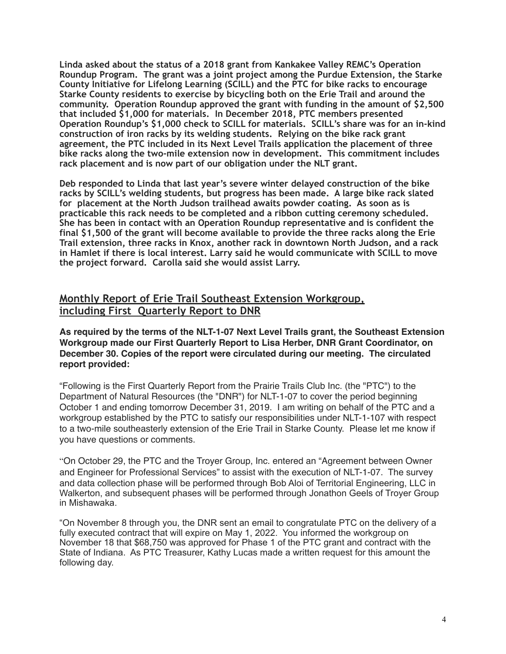**Linda asked about the status of a 2018 grant from Kankakee Valley REMC's Operation Roundup Program. The grant was a joint project among the Purdue Extension, the Starke County Initiative for Lifelong Learning (SCILL) and the PTC for bike racks to encourage Starke County residents to exercise by bicycling both on the Erie Trail and around the community. Operation Roundup approved the grant with funding in the amount of \$2,500 that included \$1,000 for materials. In December 2018, PTC members presented Operation Roundup's \$1,000 check to SCILL for materials. SCILL's share was for an in-kind construction of iron racks by its welding students. Relying on the bike rack grant agreement, the PTC included in its Next Level Trails application the placement of three bike racks along the two-mile extension now in development. This commitment includes rack placement and is now part of our obligation under the NLT grant.** 

**Deb responded to Linda that last year's severe winter delayed construction of the bike racks by SCILL's welding students, but progress has been made. A large bike rack slated for placement at the North Judson trailhead awaits powder coating. As soon as is practicable this rack needs to be completed and a ribbon cutting ceremony scheduled. She has been in contact with an Operation Roundup representative and is confident the final \$1,500 of the grant will become available to provide the three racks along the Erie Trail extension, three racks in Knox, another rack in downtown North Judson, and a rack in Hamlet if there is local interest. Larry said he would communicate with SCILL to move the project forward. Carolla said she would assist Larry.**

## **Monthly Report of Erie Trail Southeast Extension Workgroup, including First Quarterly Report to DNR**

**As required by the terms of the NLT-1-07 Next Level Trails grant, the Southeast Extension Workgroup made our First Quarterly Report to Lisa Herber, DNR Grant Coordinator, on December 30. Copies of the report were circulated during our meeting. The circulated report provided:**

"Following is the First Quarterly Report from the Prairie Trails Club Inc. (the "PTC") to the Department of Natural Resources (the "DNR") for NLT-1-07 to cover the period beginning October 1 and ending tomorrow December 31, 2019. I am writing on behalf of the PTC and a workgroup established by the PTC to satisfy our responsibilities under NLT-1-107 with respect to a two-mile southeasterly extension of the Erie Trail in Starke County. Please let me know if you have questions or comments.

"On October 29, the PTC and the Troyer Group, Inc. entered an "Agreement between Owner and Engineer for Professional Services" to assist with the execution of NLT-1-07. The survey and data collection phase will be performed through Bob Aloi of Territorial Engineering, LLC in Walkerton, and subsequent phases will be performed through Jonathon Geels of Troyer Group in Mishawaka.

"On November 8 through you, the DNR sent an email to congratulate PTC on the delivery of a fully executed contract that will expire on May 1, 2022. You informed the workgroup on November 18 that \$68,750 was approved for Phase 1 of the PTC grant and contract with the State of Indiana. As PTC Treasurer, Kathy Lucas made a written request for this amount the following day.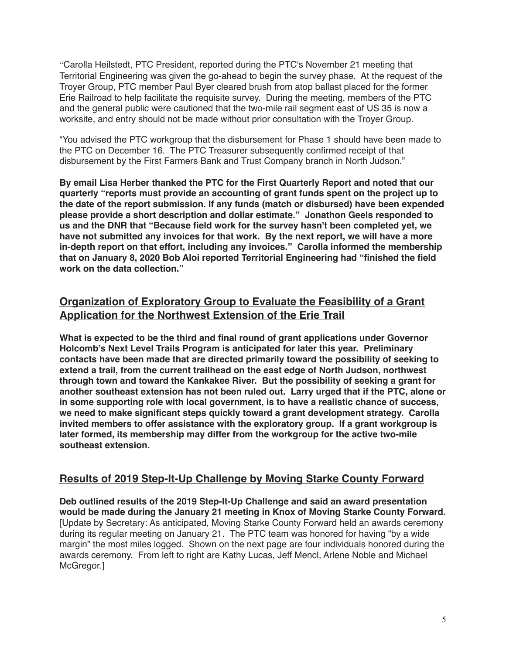"Carolla Heilstedt, PTC President, reported during the PTC's November 21 meeting that Territorial Engineering was given the go-ahead to begin the survey phase. At the request of the Troyer Group, PTC member Paul Byer cleared brush from atop ballast placed for the former Erie Railroad to help facilitate the requisite survey. During the meeting, members of the PTC and the general public were cautioned that the two-mile rail segment east of US 35 is now a worksite, and entry should not be made without prior consultation with the Troyer Group.

"You advised the PTC workgroup that the disbursement for Phase 1 should have been made to the PTC on December 16. The PTC Treasurer subsequently confirmed receipt of that disbursement by the First Farmers Bank and Trust Company branch in North Judson."

**By email Lisa Herber thanked the PTC for the First Quarterly Report and noted that our quarterly "reports must provide an accounting of grant funds spent on the project up to the date of the report submission. If any funds (match or disbursed) have been expended please provide a short description and dollar estimate." Jonathon Geels responded to us and the DNR that "Because field work for the survey hasn't been completed yet, we have not submitted any invoices for that work. By the next report, we will have a more in-depth report on that effort, including any invoices." Carolla informed the membership that on January 8, 2020 Bob Aloi reported Territorial Engineering had "finished the field work on the data collection."**

# **Organization of Exploratory Group to Evaluate the Feasibility of a Grant Application for the Northwest Extension of the Erie Trail**

**What is expected to be the third and final round of grant applications under Governor Holcomb's Next Level Trails Program is anticipated for later this year. Preliminary contacts have been made that are directed primarily toward the possibility of seeking to extend a trail, from the current trailhead on the east edge of North Judson, northwest through town and toward the Kankakee River. But the possibility of seeking a grant for another southeast extension has not been ruled out. Larry urged that if the PTC, alone or in some supporting role with local government, is to have a realistic chance of success, we need to make significant steps quickly toward a grant development strategy. Carolla invited members to offer assistance with the exploratory group. If a grant workgroup is later formed, its membership may differ from the workgroup for the active two-mile southeast extension.**

### **Results of 2019 Step-It-Up Challenge by Moving Starke County Forward**

**Deb outlined results of the 2019 Step-It-Up Challenge and said an award presentation would be made during the January 21 meeting in Knox of Moving Starke County Forward.**  [Update by Secretary: As anticipated, Moving Starke County Forward held an awards ceremony during its regular meeting on January 21. The PTC team was honored for having "by a wide margin" the most miles logged. Shown on the next page are four individuals honored during the awards ceremony. From left to right are Kathy Lucas, Jeff Mencl, Arlene Noble and Michael McGregor.]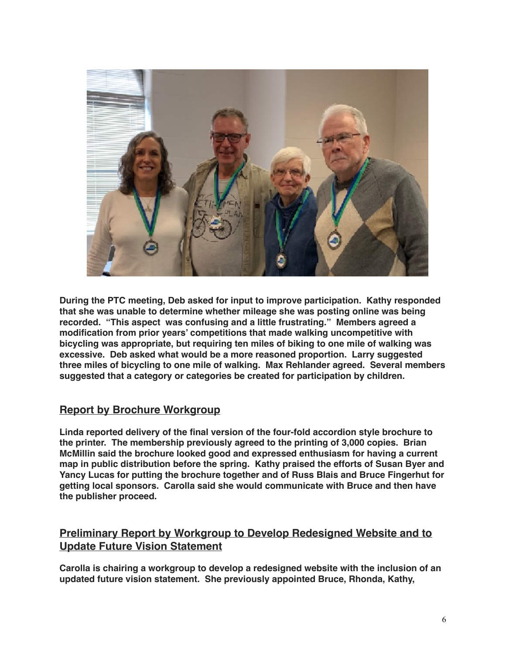

**During the PTC meeting, Deb asked for input to improve participation. Kathy responded that she was unable to determine whether mileage she was posting online was being recorded. "This aspect was confusing and a little frustrating." Members agreed a modification from prior years' competitions that made walking uncompetitive with bicycling was appropriate, but requiring ten miles of biking to one mile of walking was excessive. Deb asked what would be a more reasoned proportion. Larry suggested three miles of bicycling to one mile of walking. Max Rehlander agreed. Several members suggested that a category or categories be created for participation by children.**

### **Report by Brochure Workgroup**

**Linda reported delivery of the final version of the four-fold accordion style brochure to the printer. The membership previously agreed to the printing of 3,000 copies. Brian McMillin said the brochure looked good and expressed enthusiasm for having a current map in public distribution before the spring. Kathy praised the efforts of Susan Byer and Yancy Lucas for putting the brochure together and of Russ Blais and Bruce Fingerhut for getting local sponsors. Carolla said she would communicate with Bruce and then have the publisher proceed.**

## **Preliminary Report by Workgroup to Develop Redesigned Website and to Update Future Vision Statement**

**Carolla is chairing a workgroup to develop a redesigned website with the inclusion of an updated future vision statement. She previously appointed Bruce, Rhonda, Kathy,**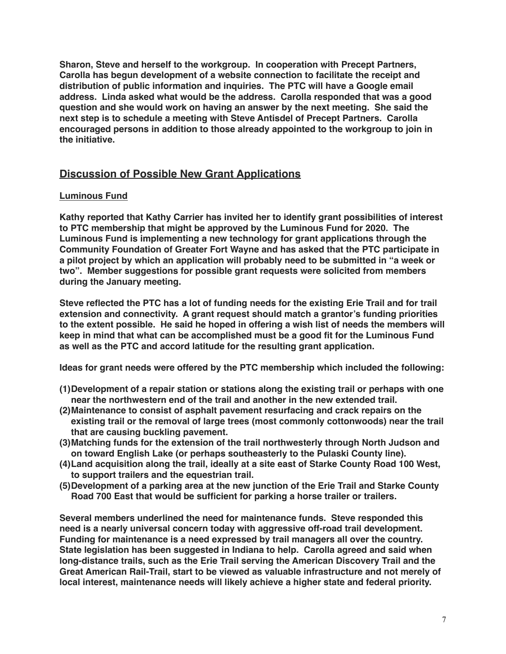**Sharon, Steve and herself to the workgroup. In cooperation with Precept Partners, Carolla has begun development of a website connection to facilitate the receipt and distribution of public information and inquiries. The PTC will have a Google email address. Linda asked what would be the address. Carolla responded that was a good question and she would work on having an answer by the next meeting. She said the next step is to schedule a meeting with Steve Antisdel of Precept Partners. Carolla encouraged persons in addition to those already appointed to the workgroup to join in the initiative.** 

## **Discussion of Possible New Grant Applications**

### **Luminous Fund**

**Kathy reported that Kathy Carrier has invited her to identify grant possibilities of interest to PTC membership that might be approved by the Luminous Fund for 2020. The Luminous Fund is implementing a new technology for grant applications through the Community Foundation of Greater Fort Wayne and has asked that the PTC participate in a pilot project by which an application will probably need to be submitted in "a week or two". Member suggestions for possible grant requests were solicited from members during the January meeting.** 

**Steve reflected the PTC has a lot of funding needs for the existing Erie Trail and for trail extension and connectivity. A grant request should match a grantor's funding priorities to the extent possible. He said he hoped in offering a wish list of needs the members will keep in mind that what can be accomplished must be a good fit for the Luminous Fund as well as the PTC and accord latitude for the resulting grant application.**

**Ideas for grant needs were offered by the PTC membership which included the following:**

- **(1)Development of a repair station or stations along the existing trail or perhaps with one near the northwestern end of the trail and another in the new extended trail.**
- **(2)Maintenance to consist of asphalt pavement resurfacing and crack repairs on the existing trail or the removal of large trees (most commonly cottonwoods) near the trail that are causing buckling pavement.**
- **(3)Matching funds for the extension of the trail northwesterly through North Judson and on toward English Lake (or perhaps southeasterly to the Pulaski County line).**
- **(4)Land acquisition along the trail, ideally at a site east of Starke County Road 100 West, to support trailers and the equestrian trail.**
- **(5)Development of a parking area at the new junction of the Erie Trail and Starke County Road 700 East that would be sufficient for parking a horse trailer or trailers.**

**Several members underlined the need for maintenance funds. Steve responded this need is a nearly universal concern today with aggressive off-road trail development. Funding for maintenance is a need expressed by trail managers all over the country. State legislation has been suggested in Indiana to help. Carolla agreed and said when long-distance trails, such as the Erie Trail serving the American Discovery Trail and the Great American Rail-Trail, start to be viewed as valuable infrastructure and not merely of local interest, maintenance needs will likely achieve a higher state and federal priority.**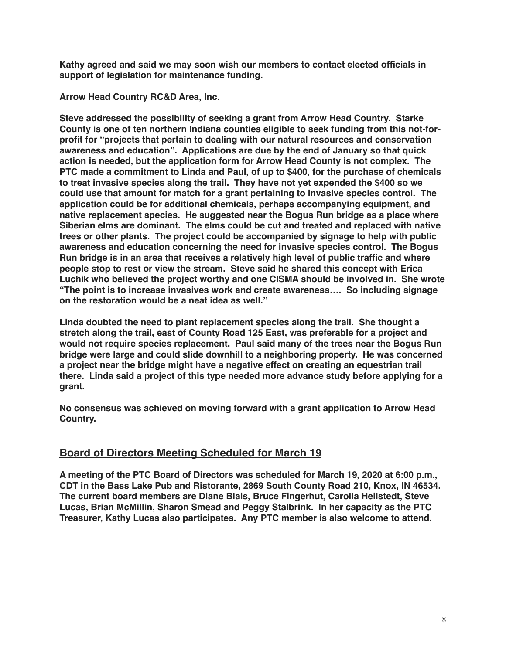**Kathy agreed and said we may soon wish our members to contact elected officials in support of legislation for maintenance funding.**

### **Arrow Head Country RC&D Area, Inc.**

**Steve addressed the possibility of seeking a grant from Arrow Head Country. Starke County is one of ten northern Indiana counties eligible to seek funding from this not-forprofit for "projects that pertain to dealing with our natural resources and conservation awareness and education". Applications are due by the end of January so that quick action is needed, but the application form for Arrow Head County is not complex. The PTC made a commitment to Linda and Paul, of up to \$400, for the purchase of chemicals to treat invasive species along the trail. They have not yet expended the \$400 so we could use that amount for match for a grant pertaining to invasive species control. The application could be for additional chemicals, perhaps accompanying equipment, and native replacement species. He suggested near the Bogus Run bridge as a place where Siberian elms are dominant. The elms could be cut and treated and replaced with native trees or other plants. The project could be accompanied by signage to help with public awareness and education concerning the need for invasive species control. The Bogus Run bridge is in an area that receives a relatively high level of public traffic and where people stop to rest or view the stream. Steve said he shared this concept with Erica Luchik who believed the project worthy and one CISMA should be involved in. She wrote "The point is to increase invasives work and create awareness…. So including signage on the restoration would be a neat idea as well."**

**Linda doubted the need to plant replacement species along the trail. She thought a stretch along the trail, east of County Road 125 East, was preferable for a project and would not require species replacement. Paul said many of the trees near the Bogus Run bridge were large and could slide downhill to a neighboring property. He was concerned a project near the bridge might have a negative effect on creating an equestrian trail there. Linda said a project of this type needed more advance study before applying for a grant.** 

**No consensus was achieved on moving forward with a grant application to Arrow Head Country.**

## **Board of Directors Meeting Scheduled for March 19**

**A meeting of the PTC Board of Directors was scheduled for March 19, 2020 at 6:00 p.m., CDT in the Bass Lake Pub and Ristorante, 2869 South County Road 210, Knox, IN 46534. The current board members are Diane Blais, Bruce Fingerhut, Carolla Heilstedt, Steve Lucas, Brian McMillin, Sharon Smead and Peggy Stalbrink. In her capacity as the PTC Treasurer, Kathy Lucas also participates. Any PTC member is also welcome to attend.**